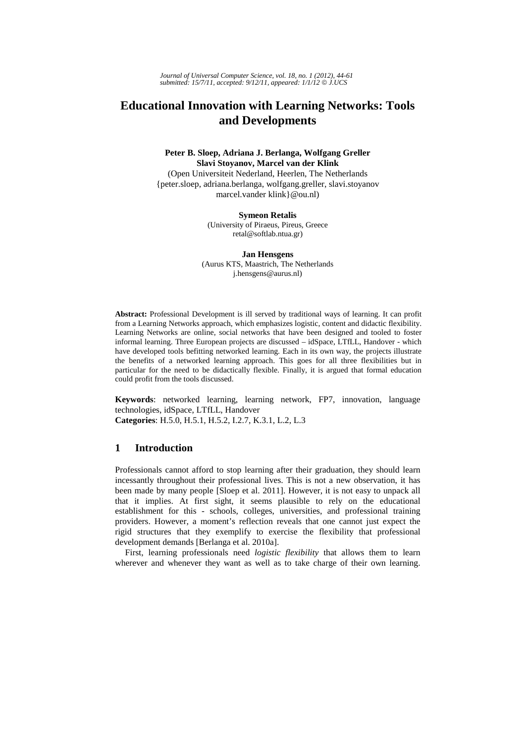*Journal of Universal Computer Science, vol. 18, no. 1 (2012), 44-61 submitted: 15/7/11, accepted: 9/12/11, appeared: 1/1/12* © *J.UCS*

## **Educational Innovation with Learning Networks: Tools and Developments**

### **Peter B. Sloep, Adriana J. Berlanga, Wolfgang Greller Slavi Stoyanov, Marcel van der Klink**

(Open Universiteit Nederland, Heerlen, The Netherlands {peter.sloep, adriana.berlanga, wolfgang.greller, slavi.stoyanov marcel.vander klink}@ou.nl)

> **Symeon Retalis** (University of Piraeus, Pireus, Greece retal@softlab.ntua.gr)

**Jan Hensgens**  (Aurus KTS, Maastrich, The Netherlands j.hensgens@aurus.nl)

**Abstract:** Professional Development is ill served by traditional ways of learning. It can profit from a Learning Networks approach, which emphasizes logistic, content and didactic flexibility. Learning Networks are online, social networks that have been designed and tooled to foster informal learning. Three European projects are discussed – idSpace, LTfLL, Handover - which have developed tools befitting networked learning. Each in its own way, the projects illustrate the benefits of a networked learning approach. This goes for all three flexibilities but in particular for the need to be didactically flexible. Finally, it is argued that formal education could profit from the tools discussed.

**Keywords**: networked learning, learning network, FP7, innovation, language technologies, idSpace, LTfLL, Handover **Categories**: H.5.0, H.5.1, H.5.2, I.2.7, K.3.1, L.2, L.3

### **1 Introduction**

Professionals cannot afford to stop learning after their graduation, they should learn incessantly throughout their professional lives. This is not a new observation, it has been made by many people [Sloep et al. 2011]. However, it is not easy to unpack all that it implies. At first sight, it seems plausible to rely on the educational establishment for this - schools, colleges, universities, and professional training providers. However, a moment's reflection reveals that one cannot just expect the rigid structures that they exemplify to exercise the flexibility that professional development demands [Berlanga et al. 2010a].

First, learning professionals need *logistic flexibility* that allows them to learn wherever and whenever they want as well as to take charge of their own learning.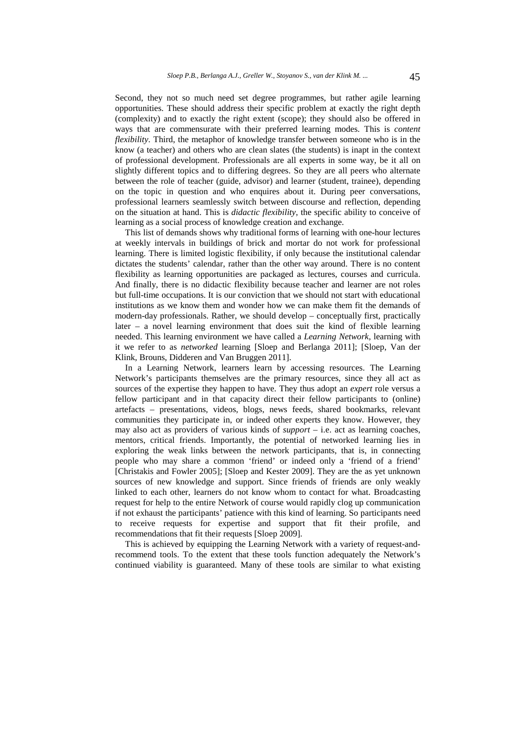Second, they not so much need set degree programmes, but rather agile learning opportunities. These should address their specific problem at exactly the right depth (complexity) and to exactly the right extent (scope); they should also be offered in ways that are commensurate with their preferred learning modes. This is *content flexibility*. Third, the metaphor of knowledge transfer between someone who is in the know (a teacher) and others who are clean slates (the students) is inapt in the context of professional development. Professionals are all experts in some way, be it all on slightly different topics and to differing degrees. So they are all peers who alternate between the role of teacher (guide, advisor) and learner (student, trainee), depending on the topic in question and who enquires about it. During peer conversations, professional learners seamlessly switch between discourse and reflection, depending on the situation at hand. This is *didactic flexibility*, the specific ability to conceive of learning as a social process of knowledge creation and exchange.

This list of demands shows why traditional forms of learning with one-hour lectures at weekly intervals in buildings of brick and mortar do not work for professional learning. There is limited logistic flexibility, if only because the institutional calendar dictates the students' calendar, rather than the other way around. There is no content flexibility as learning opportunities are packaged as lectures, courses and curricula. And finally, there is no didactic flexibility because teacher and learner are not roles but full-time occupations. It is our conviction that we should not start with educational institutions as we know them and wonder how we can make them fit the demands of modern-day professionals. Rather, we should develop – conceptually first, practically later – a novel learning environment that does suit the kind of flexible learning needed. This learning environment we have called a *Learning Network*, learning with it we refer to as *networked* learning [Sloep and Berlanga 2011]; [Sloep, Van der Klink, Brouns, Didderen and Van Bruggen 2011].

In a Learning Network, learners learn by accessing resources. The Learning Network's participants themselves are the primary resources, since they all act as sources of the expertise they happen to have. They thus adopt an *expert* role versus a fellow participant and in that capacity direct their fellow participants to (online) artefacts – presentations, videos, blogs, news feeds, shared bookmarks, relevant communities they participate in, or indeed other experts they know. However, they may also act as providers of various kinds of *support* – i.e. act as learning coaches, mentors, critical friends. Importantly, the potential of networked learning lies in exploring the weak links between the network participants, that is, in connecting people who may share a common 'friend' or indeed only a 'friend of a friend' [Christakis and Fowler 2005]; [Sloep and Kester 2009]. They are the as yet unknown sources of new knowledge and support. Since friends of friends are only weakly linked to each other, learners do not know whom to contact for what. Broadcasting request for help to the entire Network of course would rapidly clog up communication if not exhaust the participants' patience with this kind of learning. So participants need to receive requests for expertise and support that fit their profile, and recommendations that fit their requests [Sloep 2009].

This is achieved by equipping the Learning Network with a variety of request-andrecommend tools. To the extent that these tools function adequately the Network's continued viability is guaranteed. Many of these tools are similar to what existing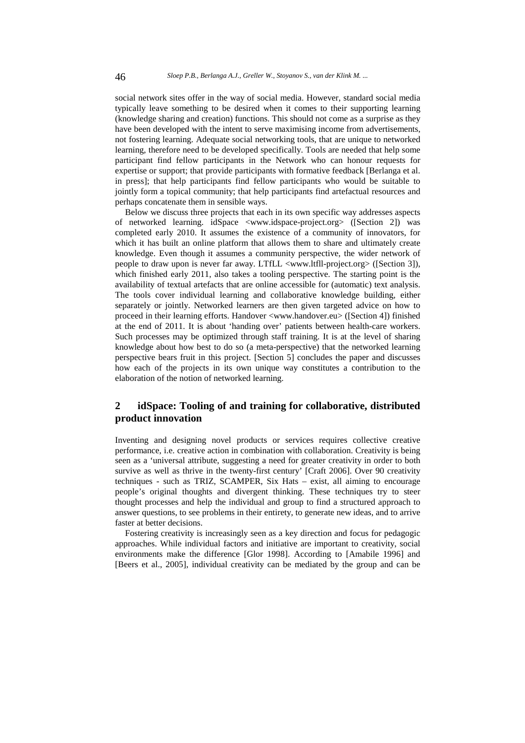social network sites offer in the way of social media. However, standard social media typically leave something to be desired when it comes to their supporting learning (knowledge sharing and creation) functions. This should not come as a surprise as they have been developed with the intent to serve maximising income from advertisements, not fostering learning. Adequate social networking tools, that are unique to networked learning, therefore need to be developed specifically. Tools are needed that help some participant find fellow participants in the Network who can honour requests for expertise or support; that provide participants with formative feedback [Berlanga et al. in press]; that help participants find fellow participants who would be suitable to jointly form a topical community; that help participants find artefactual resources and perhaps concatenate them in sensible ways.

Below we discuss three projects that each in its own specific way addresses aspects of networked learning. idSpace <www.idspace-project.org> ([Section 2]) was completed early 2010. It assumes the existence of a community of innovators, for which it has built an online platform that allows them to share and ultimately create knowledge. Even though it assumes a community perspective, the wider network of people to draw upon is never far away. LTfLL <www.ltfll-project.org> ([Section 3]), which finished early 2011, also takes a tooling perspective. The starting point is the availability of textual artefacts that are online accessible for (automatic) text analysis. The tools cover individual learning and collaborative knowledge building, either separately or jointly. Networked learners are then given targeted advice on how to proceed in their learning efforts. Handover <www.handover.eu> ([Section 4]) finished at the end of 2011. It is about 'handing over' patients between health-care workers. Such processes may be optimized through staff training. It is at the level of sharing knowledge about how best to do so (a meta-perspective) that the networked learning perspective bears fruit in this project. [Section 5] concludes the paper and discusses how each of the projects in its own unique way constitutes a contribution to the elaboration of the notion of networked learning.

### **2 idSpace: Tooling of and training for collaborative, distributed product innovation**

Inventing and designing novel products or services requires collective creative performance, i.e. creative action in combination with collaboration. Creativity is being seen as a 'universal attribute, suggesting a need for greater creativity in order to both survive as well as thrive in the twenty-first century' [Craft 2006]. Over 90 creativity techniques - such as TRIZ, SCAMPER, Six Hats – exist, all aiming to encourage people's original thoughts and divergent thinking. These techniques try to steer thought processes and help the individual and group to find a structured approach to answer questions, to see problems in their entirety, to generate new ideas, and to arrive faster at better decisions.

Fostering creativity is increasingly seen as a key direction and focus for pedagogic approaches. While individual factors and initiative are important to creativity, social environments make the difference [Glor 1998]. According to [Amabile 1996] and [Beers et al., 2005], individual creativity can be mediated by the group and can be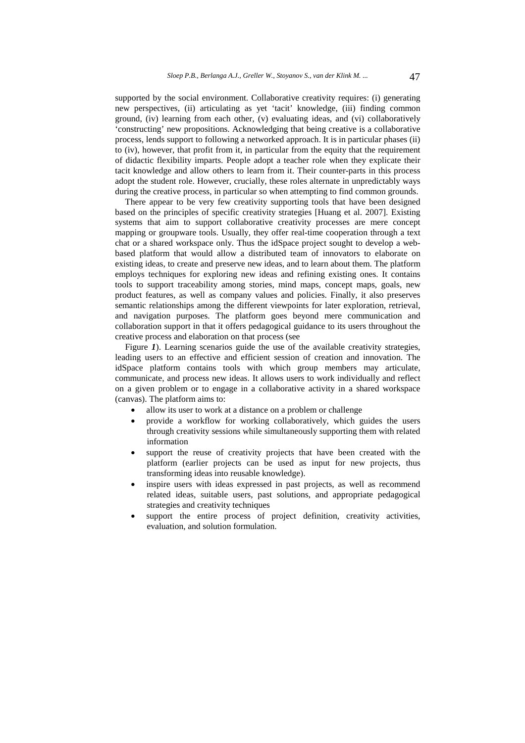supported by the social environment. Collaborative creativity requires: (i) generating new perspectives, (ii) articulating as yet 'tacit' knowledge, (iii) finding common ground, (iv) learning from each other, (v) evaluating ideas, and (vi) collaboratively 'constructing' new propositions. Acknowledging that being creative is a collaborative process, lends support to following a networked approach. It is in particular phases (ii) to (iv), however, that profit from it, in particular from the equity that the requirement of didactic flexibility imparts. People adopt a teacher role when they explicate their tacit knowledge and allow others to learn from it. Their counter-parts in this process adopt the student role. However, crucially, these roles alternate in unpredictably ways during the creative process, in particular so when attempting to find common grounds.

There appear to be very few creativity supporting tools that have been designed based on the principles of specific creativity strategies [Huang et al. 2007]. Existing systems that aim to support collaborative creativity processes are mere concept mapping or groupware tools. Usually, they offer real-time cooperation through a text chat or a shared workspace only. Thus the idSpace project sought to develop a webbased platform that would allow a distributed team of innovators to elaborate on existing ideas, to create and preserve new ideas, and to learn about them. The platform employs techniques for exploring new ideas and refining existing ones. It contains tools to support traceability among stories, mind maps, concept maps, goals, new product features, as well as company values and policies. Finally, it also preserves semantic relationships among the different viewpoints for later exploration, retrieval, and navigation purposes. The platform goes beyond mere communication and collaboration support in that it offers pedagogical guidance to its users throughout the creative process and elaboration on that process (see

Figure *1*). Learning scenarios guide the use of the available creativity strategies, leading users to an effective and efficient session of creation and innovation. The idSpace platform contains tools with which group members may articulate, communicate, and process new ideas. It allows users to work individually and reflect on a given problem or to engage in a collaborative activity in a shared workspace (canvas). The platform aims to:

- allow its user to work at a distance on a problem or challenge
- provide a workflow for working collaboratively, which guides the users through creativity sessions while simultaneously supporting them with related information
- support the reuse of creativity projects that have been created with the platform (earlier projects can be used as input for new projects, thus transforming ideas into reusable knowledge).
- inspire users with ideas expressed in past projects, as well as recommend related ideas, suitable users, past solutions, and appropriate pedagogical strategies and creativity techniques
- support the entire process of project definition, creativity activities, evaluation, and solution formulation.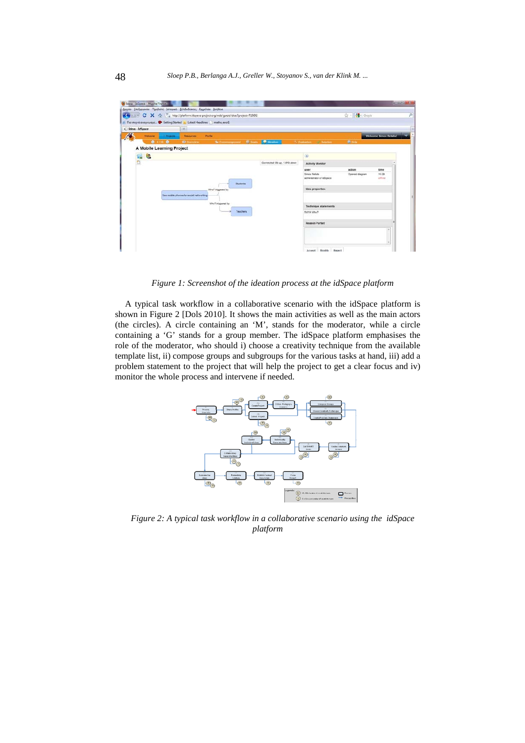

*Figure 1: Screenshot of the ideation process at the idSpace platform* 

A typical task workflow in a collaborative scenario with the idSpace platform is shown in Figure 2 [Dols 2010]. It shows the main activities as well as the main actors (the circles). A circle containing an 'M', stands for the moderator, while a circle containing a 'G' stands for a group member. The idSpace platform emphasises the role of the moderator, who should i) choose a creativity technique from the available template list, ii) compose groups and subgroups for the various tasks at hand, iii) add a problem statement to the project that will help the project to get a clear focus and iv) monitor the whole process and intervene if needed.



*Figure 2: A typical task workflow in a collaborative scenario using the idSpace platform*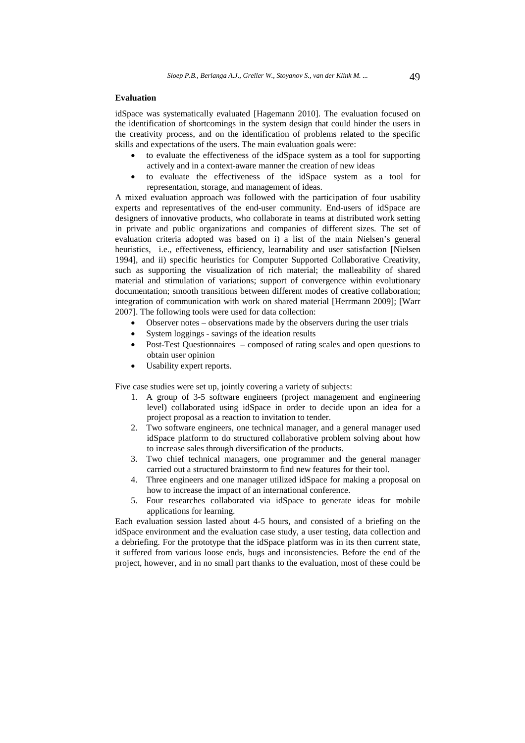#### **Evaluation**

idSpace was systematically evaluated [Hagemann 2010]. The evaluation focused on the identification of shortcomings in the system design that could hinder the users in the creativity process, and on the identification of problems related to the specific skills and expectations of the users. The main evaluation goals were:

- to evaluate the effectiveness of the idSpace system as a tool for supporting actively and in a context-aware manner the creation of new ideas
- to evaluate the effectiveness of the idSpace system as a tool for representation, storage, and management of ideas.

A mixed evaluation approach was followed with the participation of four usability experts and representatives of the end-user community. End-users of idSpace are designers of innovative products, who collaborate in teams at distributed work setting in private and public organizations and companies of different sizes. The set of evaluation criteria adopted was based on i) a list of the main Nielsen's general heuristics, i.e., effectiveness, efficiency, learnability and user satisfaction [Nielsen 1994], and ii) specific heuristics for Computer Supported Collaborative Creativity, such as supporting the visualization of rich material; the malleability of shared material and stimulation of variations; support of convergence within evolutionary documentation; smooth transitions between different modes of creative collaboration; integration of communication with work on shared material [Herrmann 2009]; [Warr 2007]. The following tools were used for data collection:

- Observer notes observations made by the observers during the user trials
- System loggings savings of the ideation results
- Post-Test Questionnaires composed of rating scales and open questions to obtain user opinion
- Usability expert reports.

Five case studies were set up, jointly covering a variety of subjects:

- 1. A group of 3-5 software engineers (project management and engineering level) collaborated using idSpace in order to decide upon an idea for a project proposal as a reaction to invitation to tender.
- 2. Two software engineers, one technical manager, and a general manager used idSpace platform to do structured collaborative problem solving about how to increase sales through diversification of the products.
- 3. Two chief technical managers, one programmer and the general manager carried out a structured brainstorm to find new features for their tool.
- 4. Three engineers and one manager utilized idSpace for making a proposal on how to increase the impact of an international conference.
- 5. Four researches collaborated via idSpace to generate ideas for mobile applications for learning.

Each evaluation session lasted about 4-5 hours, and consisted of a briefing on the idSpace environment and the evaluation case study, a user testing, data collection and a debriefing. For the prototype that the idSpace platform was in its then current state, it suffered from various loose ends, bugs and inconsistencies. Before the end of the project, however, and in no small part thanks to the evaluation, most of these could be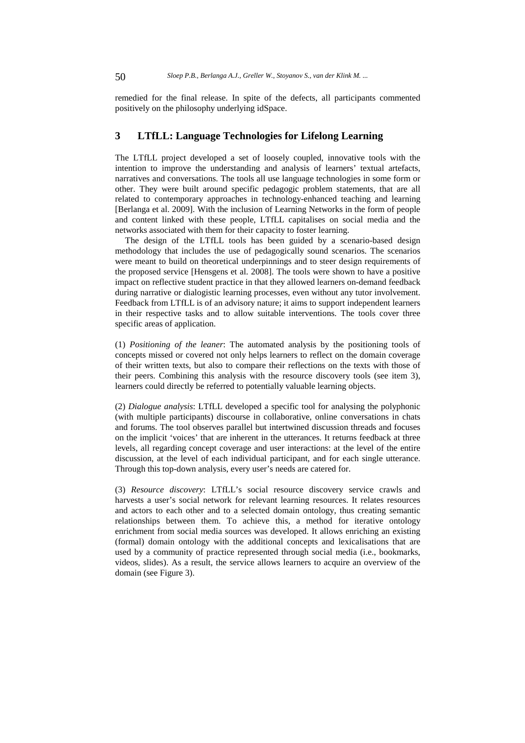remedied for the final release. In spite of the defects, all participants commented positively on the philosophy underlying idSpace.

### **3 LTfLL: Language Technologies for Lifelong Learning**

The LTfLL project developed a set of loosely coupled, innovative tools with the intention to improve the understanding and analysis of learners' textual artefacts, narratives and conversations. The tools all use language technologies in some form or other. They were built around specific pedagogic problem statements, that are all related to contemporary approaches in technology-enhanced teaching and learning [Berlanga et al. 2009]. With the inclusion of Learning Networks in the form of people and content linked with these people, LTfLL capitalises on social media and the networks associated with them for their capacity to foster learning.

The design of the LTfLL tools has been guided by a scenario-based design methodology that includes the use of pedagogically sound scenarios. The scenarios were meant to build on theoretical underpinnings and to steer design requirements of the proposed service [Hensgens et al. 2008]. The tools were shown to have a positive impact on reflective student practice in that they allowed learners on-demand feedback during narrative or dialogistic learning processes, even without any tutor involvement. Feedback from LTfLL is of an advisory nature; it aims to support independent learners in their respective tasks and to allow suitable interventions. The tools cover three specific areas of application.

(1) *Positioning of the leaner*: The automated analysis by the positioning tools of concepts missed or covered not only helps learners to reflect on the domain coverage of their written texts, but also to compare their reflections on the texts with those of their peers. Combining this analysis with the resource discovery tools (see item 3), learners could directly be referred to potentially valuable learning objects.

(2) *Dialogue analysis*: LTfLL developed a specific tool for analysing the polyphonic (with multiple participants) discourse in collaborative, online conversations in chats and forums. The tool observes parallel but intertwined discussion threads and focuses on the implicit 'voices' that are inherent in the utterances. It returns feedback at three levels, all regarding concept coverage and user interactions: at the level of the entire discussion, at the level of each individual participant, and for each single utterance. Through this top-down analysis, every user's needs are catered for.

(3) *Resource discovery*: LTfLL's social resource discovery service crawls and harvests a user's social network for relevant learning resources. It relates resources and actors to each other and to a selected domain ontology, thus creating semantic relationships between them. To achieve this, a method for iterative ontology enrichment from social media sources was developed. It allows enriching an existing (formal) domain ontology with the additional concepts and lexicalisations that are used by a community of practice represented through social media (i.e., bookmarks, videos, slides). As a result, the service allows learners to acquire an overview of the domain (see Figure 3).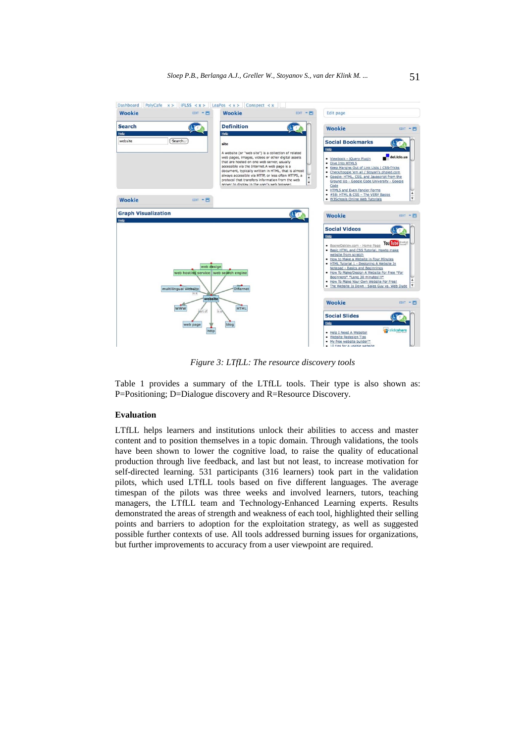

*Figure 3: LTfLL: The resource discovery tools* 

Table 1 provides a summary of the LTfLL tools. Their type is also shown as: P=Positioning; D=Dialogue discovery and R=Resource Discovery.

#### **Evaluation**

LTfLL helps learners and institutions unlock their abilities to access and master content and to position themselves in a topic domain. Through validations, the tools have been shown to lower the cognitive load, to raise the quality of educational production through live feedback, and last but not least, to increase motivation for self-directed learning. 531 participants (316 learners) took part in the validation pilots, which used LTfLL tools based on five different languages. The average timespan of the pilots was three weeks and involved learners, tutors, teaching managers, the LTfLL team and Technology-Enhanced Learning experts. Results demonstrated the areas of strength and weakness of each tool, highlighted their selling points and barriers to adoption for the exploitation strategy, as well as suggested possible further contexts of use. All tools addressed burning issues for organizations, but further improvements to accuracy from a user viewpoint are required.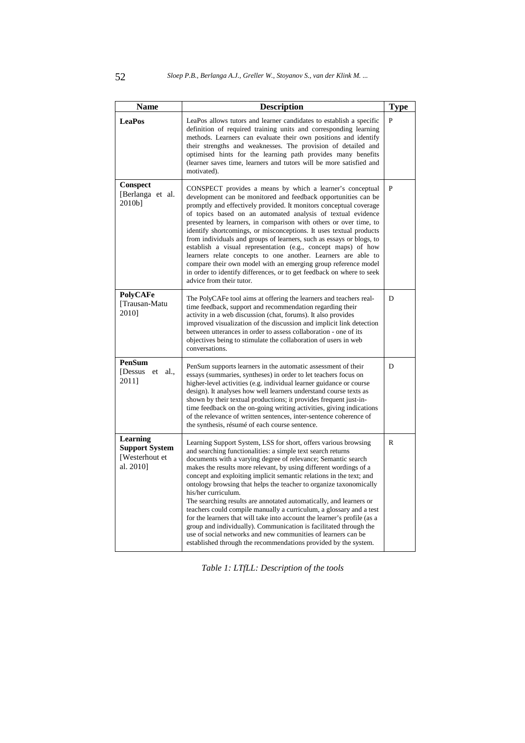| Name                                                             | <b>Description</b>                                                                                                                                                                                                                                                                                                                                                                                                                                                                                                                                                                                                                                                                                                                                                                                                                                                         | <b>Type</b>  |
|------------------------------------------------------------------|----------------------------------------------------------------------------------------------------------------------------------------------------------------------------------------------------------------------------------------------------------------------------------------------------------------------------------------------------------------------------------------------------------------------------------------------------------------------------------------------------------------------------------------------------------------------------------------------------------------------------------------------------------------------------------------------------------------------------------------------------------------------------------------------------------------------------------------------------------------------------|--------------|
| <b>LeaPos</b>                                                    | LeaPos allows tutors and learner candidates to establish a specific<br>definition of required training units and corresponding learning<br>methods. Learners can evaluate their own positions and identify<br>their strengths and weaknesses. The provision of detailed and<br>optimised hints for the learning path provides many benefits<br>(learner saves time, learners and tutors will be more satisfied and<br>motivated).                                                                                                                                                                                                                                                                                                                                                                                                                                          | $\mathbf{P}$ |
| <b>Conspect</b><br>[Berlanga et al.<br>2010b]                    | CONSPECT provides a means by which a learner's conceptual<br>development can be monitored and feedback opportunities can be<br>promptly and effectively provided. It monitors conceptual coverage<br>of topics based on an automated analysis of textual evidence<br>presented by learners, in comparison with others or over time, to<br>identify shortcomings, or misconceptions. It uses textual products<br>from individuals and groups of learners, such as essays or blogs, to<br>establish a visual representation (e.g., concept maps) of how<br>learners relate concepts to one another. Learners are able to<br>compare their own model with an emerging group reference model<br>in order to identify differences, or to get feedback on where to seek<br>advice from their tutor.                                                                              | P            |
| <b>PolyCAFe</b><br>[Trausan-Matu<br>2010]                        | The PolyCAFe tool aims at offering the learners and teachers real-<br>time feedback, support and recommendation regarding their<br>activity in a web discussion (chat, forums). It also provides<br>improved visualization of the discussion and implicit link detection<br>between utterances in order to assess collaboration - one of its<br>objectives being to stimulate the collaboration of users in web<br>conversations.                                                                                                                                                                                                                                                                                                                                                                                                                                          | D            |
| <b>PenSum</b><br>[Dessus et]<br>al.,<br>20111                    | PenSum supports learners in the automatic assessment of their<br>essays (summaries, syntheses) in order to let teachers focus on<br>higher-level activities (e.g. individual learner guidance or course<br>design). It analyses how well learners understand course texts as<br>shown by their textual productions; it provides frequent just-in-<br>time feedback on the on-going writing activities, giving indications<br>of the relevance of written sentences, inter-sentence coherence of<br>the synthesis, résumé of each course sentence.                                                                                                                                                                                                                                                                                                                          | D            |
| Learning<br><b>Support System</b><br>[Westerhout et<br>al. 20101 | Learning Support System, LSS for short, offers various browsing<br>and searching functionalities: a simple text search returns<br>documents with a varying degree of relevance; Semantic search<br>makes the results more relevant, by using different wordings of a<br>concept and exploiting implicit semantic relations in the text; and<br>ontology browsing that helps the teacher to organize taxonomically<br>his/her curriculum.<br>The searching results are annotated automatically, and learners or<br>teachers could compile manually a curriculum, a glossary and a test<br>for the learners that will take into account the learner's profile (as a<br>group and individually). Communication is facilitated through the<br>use of social networks and new communities of learners can be<br>established through the recommendations provided by the system. | R            |

*Table 1: LTfLL: Description of the tools*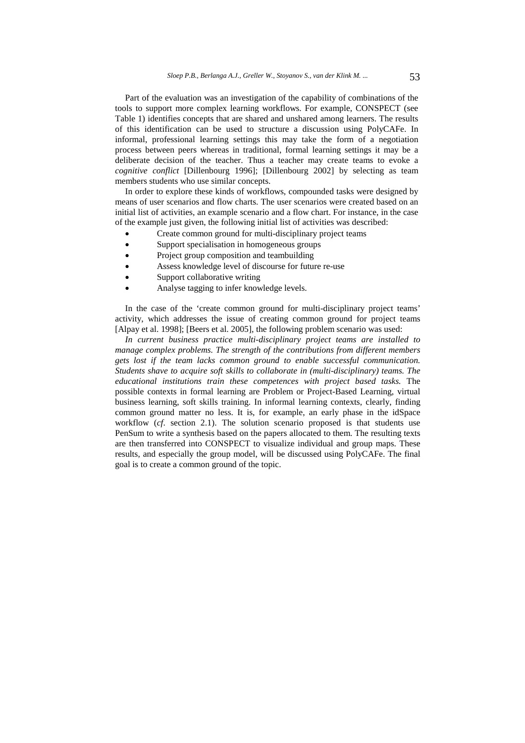Part of the evaluation was an investigation of the capability of combinations of the tools to support more complex learning workflows. For example, CONSPECT (see Table 1) identifies concepts that are shared and unshared among learners. The results of this identification can be used to structure a discussion using PolyCAFe. In informal, professional learning settings this may take the form of a negotiation process between peers whereas in traditional, formal learning settings it may be a deliberate decision of the teacher. Thus a teacher may create teams to evoke a *cognitive conflict* [Dillenbourg 1996]; [Dillenbourg 2002] by selecting as team members students who use similar concepts.

In order to explore these kinds of workflows, compounded tasks were designed by means of user scenarios and flow charts. The user scenarios were created based on an initial list of activities, an example scenario and a flow chart. For instance, in the case of the example just given, the following initial list of activities was described:

- Create common ground for multi-disciplinary project teams
- Support specialisation in homogeneous groups
- Project group composition and teambuilding
- Assess knowledge level of discourse for future re-use
- Support collaborative writing
- Analyse tagging to infer knowledge levels.

In the case of the 'create common ground for multi-disciplinary project teams' activity, which addresses the issue of creating common ground for project teams [Alpay et al. 1998]; [Beers et al. 2005], the following problem scenario was used:

*In current business practice multi-disciplinary project teams are installed to manage complex problems. The strength of the contributions from different members gets lost if the team lacks common ground to enable successful communication. Students shave to acquire soft skills to collaborate in (multi-disciplinary) teams. The educational institutions train these competences with project based tasks.* The possible contexts in formal learning are Problem or Project-Based Learning, virtual business learning, soft skills training. In informal learning contexts, clearly, finding common ground matter no less. It is, for example, an early phase in the idSpace workflow (*cf*. section 2.1). The solution scenario proposed is that students use PenSum to write a synthesis based on the papers allocated to them. The resulting texts are then transferred into CONSPECT to visualize individual and group maps. These results, and especially the group model, will be discussed using PolyCAFe. The final goal is to create a common ground of the topic.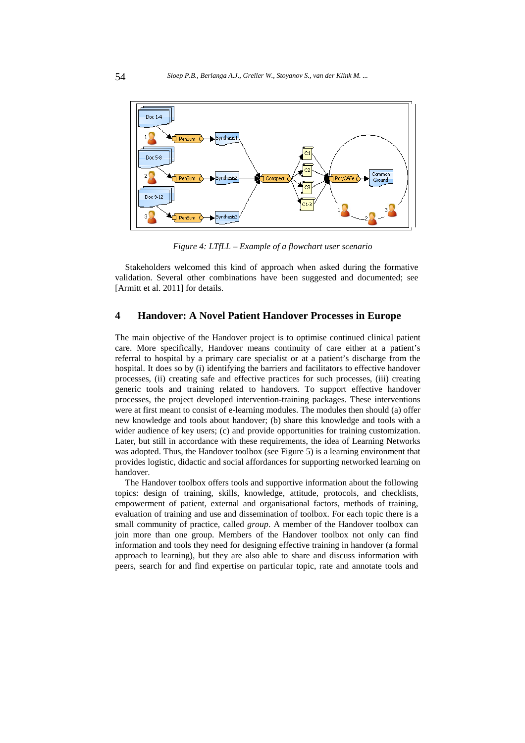

*Figure 4: LTfLL – Example of a flowchart user scenario* 

Stakeholders welcomed this kind of approach when asked during the formative validation. Several other combinations have been suggested and documented; see [Armitt et al. 2011] for details.

### **4 Handover: A Novel Patient Handover Processes in Europe**

The main objective of the Handover project is to optimise continued clinical patient care. More specifically, Handover means continuity of care either at a patient's referral to hospital by a primary care specialist or at a patient's discharge from the hospital. It does so by (i) identifying the barriers and facilitators to effective handover processes, (ii) creating safe and effective practices for such processes, (iii) creating generic tools and training related to handovers. To support effective handover processes, the project developed intervention-training packages. These interventions were at first meant to consist of e-learning modules. The modules then should (a) offer new knowledge and tools about handover; (b) share this knowledge and tools with a wider audience of key users; (c) and provide opportunities for training customization. Later, but still in accordance with these requirements, the idea of Learning Networks was adopted. Thus, the Handover toolbox (see Figure 5) is a learning environment that provides logistic, didactic and social affordances for supporting networked learning on handover.

The Handover toolbox offers tools and supportive information about the following topics: design of training, skills, knowledge, attitude, protocols, and checklists, empowerment of patient, external and organisational factors, methods of training, evaluation of training and use and dissemination of toolbox. For each topic there is a small community of practice, called *group*. A member of the Handover toolbox can join more than one group. Members of the Handover toolbox not only can find information and tools they need for designing effective training in handover (a formal approach to learning), but they are also able to share and discuss information with peers, search for and find expertise on particular topic, rate and annotate tools and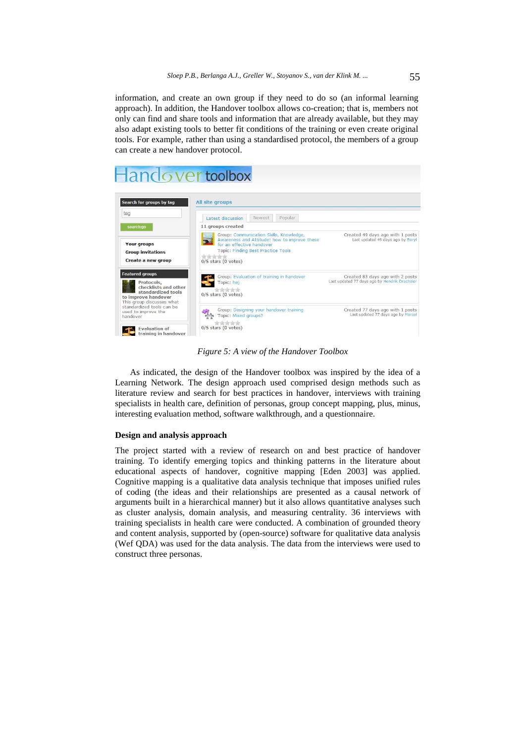information, and create an own group if they need to do so (an informal learning approach). In addition, the Handover toolbox allows co-creation; that is, members not only can find and share tools and information that are already available, but they may also adapt existing tools to better fit conditions of the training or even create original tools. For example, rather than using a standardised protocol, the members of a group can create a new handover protocol.

# ndover toolbox



*Figure 5: A view of the Handover Toolbox*

As indicated, the design of the Handover toolbox was inspired by the idea of a Learning Network. The design approach used comprised design methods such as literature review and search for best practices in handover, interviews with training specialists in health care, definition of personas, group concept mapping, plus, minus, interesting evaluation method, software walkthrough, and a questionnaire.

#### **Design and analysis approach**

The project started with a review of research on and best practice of handover training. To identify emerging topics and thinking patterns in the literature about educational aspects of handover, cognitive mapping [Eden 2003] was applied. Cognitive mapping is a qualitative data analysis technique that imposes unified rules of coding (the ideas and their relationships are presented as a causal network of arguments built in a hierarchical manner) but it also allows quantitative analyses such as cluster analysis, domain analysis, and measuring centrality. 36 interviews with training specialists in health care were conducted. A combination of grounded theory and content analysis, supported by (open-source) software for qualitative data analysis (Wef QDA) was used for the data analysis. The data from the interviews were used to construct three personas.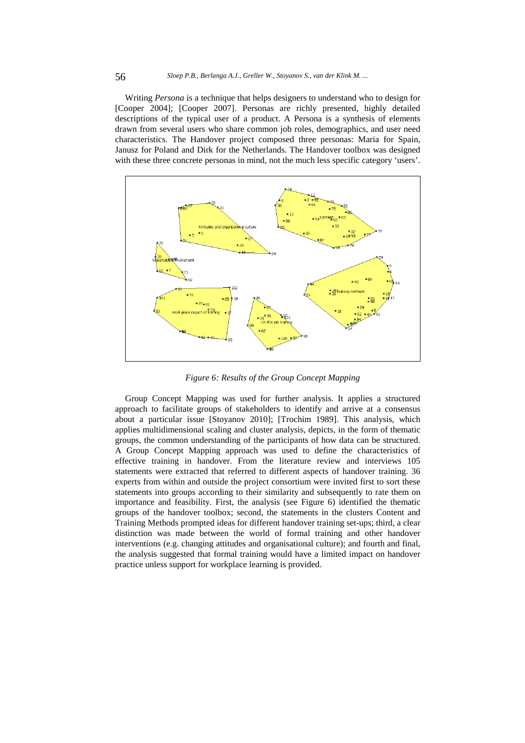Writing *Persona* is a technique that helps designers to understand who to design for [Cooper 2004]; [Cooper 2007]. Personas are richly presented, highly detailed descriptions of the typical user of a product. A Persona is a synthesis of elements drawn from several users who share common job roles, demographics, and user need characteristics. The Handover project composed three personas: Maria for Spain, Janusz for Poland and Dirk for the Netherlands. The Handover toolbox was designed with these three concrete personas in mind, not the much less specific category 'users'.



*Figure 6: Results of the Group Concept Mapping*

Group Concept Mapping was used for further analysis. It applies a structured approach to facilitate groups of stakeholders to identify and arrive at a consensus about a particular issue [Stoyanov 2010]; [Trochim 1989]. This analysis, which applies multidimensional scaling and cluster analysis, depicts, in the form of thematic groups, the common understanding of the participants of how data can be structured. A Group Concept Mapping approach was used to define the characteristics of effective training in handover. From the literature review and interviews 105 statements were extracted that referred to different aspects of handover training. 36 experts from within and outside the project consortium were invited first to sort these statements into groups according to their similarity and subsequently to rate them on importance and feasibility. First, the analysis (see Figure 6) identified the thematic groups of the handover toolbox; second, the statements in the clusters Content and Training Methods prompted ideas for different handover training set-ups; third, a clear distinction was made between the world of formal training and other handover interventions (e.g. changing attitudes and organisational culture); and fourth and final, the analysis suggested that formal training would have a limited impact on handover practice unless support for workplace learning is provided.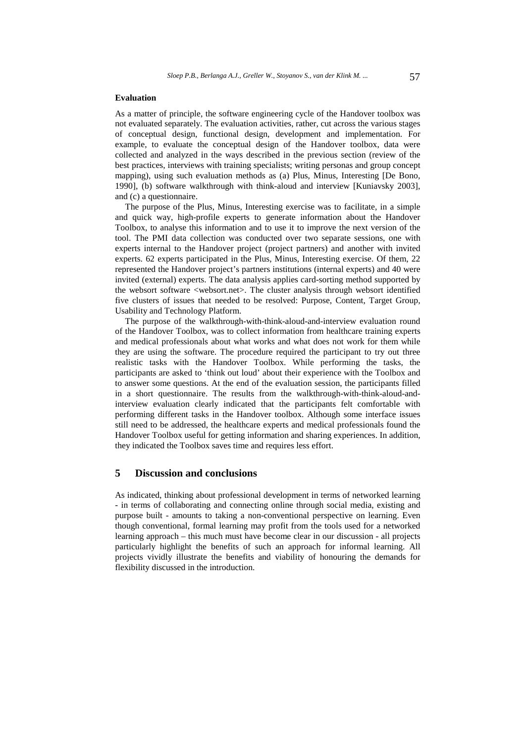#### **Evaluation**

As a matter of principle, the software engineering cycle of the Handover toolbox was not evaluated separately. The evaluation activities, rather, cut across the various stages of conceptual design, functional design, development and implementation. For example, to evaluate the conceptual design of the Handover toolbox, data were collected and analyzed in the ways described in the previous section (review of the best practices, interviews with training specialists; writing personas and group concept mapping), using such evaluation methods as (a) Plus, Minus, Interesting [De Bono, 1990], (b) software walkthrough with think-aloud and interview [Kuniavsky 2003], and (c) a questionnaire.

The purpose of the Plus, Minus, Interesting exercise was to facilitate, in a simple and quick way, high-profile experts to generate information about the Handover Toolbox, to analyse this information and to use it to improve the next version of the tool. The PMI data collection was conducted over two separate sessions, one with experts internal to the Handover project (project partners) and another with invited experts. 62 experts participated in the Plus, Minus, Interesting exercise. Of them, 22 represented the Handover project's partners institutions (internal experts) and 40 were invited (external) experts. The data analysis applies card-sorting method supported by the websort software <websort.net>. The cluster analysis through websort identified five clusters of issues that needed to be resolved: Purpose, Content, Target Group, Usability and Technology Platform.

The purpose of the walkthrough-with-think-aloud-and-interview evaluation round of the Handover Toolbox, was to collect information from healthcare training experts and medical professionals about what works and what does not work for them while they are using the software. The procedure required the participant to try out three realistic tasks with the Handover Toolbox. While performing the tasks, the participants are asked to 'think out loud' about their experience with the Toolbox and to answer some questions. At the end of the evaluation session, the participants filled in a short questionnaire. The results from the walkthrough-with-think-aloud-andinterview evaluation clearly indicated that the participants felt comfortable with performing different tasks in the Handover toolbox. Although some interface issues still need to be addressed, the healthcare experts and medical professionals found the Handover Toolbox useful for getting information and sharing experiences. In addition, they indicated the Toolbox saves time and requires less effort.

#### **5 Discussion and conclusions**

As indicated, thinking about professional development in terms of networked learning - in terms of collaborating and connecting online through social media, existing and purpose built - amounts to taking a non-conventional perspective on learning. Even though conventional, formal learning may profit from the tools used for a networked learning approach – this much must have become clear in our discussion - all projects particularly highlight the benefits of such an approach for informal learning. All projects vividly illustrate the benefits and viability of honouring the demands for flexibility discussed in the introduction.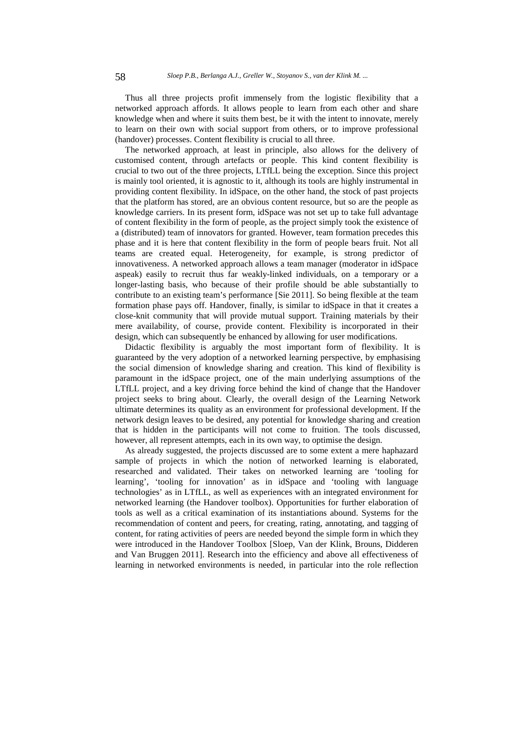Thus all three projects profit immensely from the logistic flexibility that a networked approach affords. It allows people to learn from each other and share knowledge when and where it suits them best, be it with the intent to innovate, merely to learn on their own with social support from others, or to improve professional (handover) processes. Content flexibility is crucial to all three.

The networked approach, at least in principle, also allows for the delivery of customised content, through artefacts or people. This kind content flexibility is crucial to two out of the three projects, LTfLL being the exception. Since this project is mainly tool oriented, it is agnostic to it, although its tools are highly instrumental in providing content flexibility. In idSpace, on the other hand, the stock of past projects that the platform has stored, are an obvious content resource, but so are the people as knowledge carriers. In its present form, idSpace was not set up to take full advantage of content flexibility in the form of people, as the project simply took the existence of a (distributed) team of innovators for granted. However, team formation precedes this phase and it is here that content flexibility in the form of people bears fruit. Not all teams are created equal. Heterogeneity, for example, is strong predictor of innovativeness. A networked approach allows a team manager (moderator in idSpace aspeak) easily to recruit thus far weakly-linked individuals, on a temporary or a longer-lasting basis, who because of their profile should be able substantially to contribute to an existing team's performance [Sie 2011]. So being flexible at the team formation phase pays off. Handover, finally, is similar to idSpace in that it creates a close-knit community that will provide mutual support. Training materials by their mere availability, of course, provide content. Flexibility is incorporated in their design, which can subsequently be enhanced by allowing for user modifications.

Didactic flexibility is arguably the most important form of flexibility. It is guaranteed by the very adoption of a networked learning perspective, by emphasising the social dimension of knowledge sharing and creation. This kind of flexibility is paramount in the idSpace project, one of the main underlying assumptions of the LTfLL project, and a key driving force behind the kind of change that the Handover project seeks to bring about. Clearly, the overall design of the Learning Network ultimate determines its quality as an environment for professional development. If the network design leaves to be desired, any potential for knowledge sharing and creation that is hidden in the participants will not come to fruition. The tools discussed, however, all represent attempts, each in its own way, to optimise the design.

As already suggested, the projects discussed are to some extent a mere haphazard sample of projects in which the notion of networked learning is elaborated, researched and validated. Their takes on networked learning are 'tooling for learning', 'tooling for innovation' as in idSpace and 'tooling with language technologies' as in LTfLL, as well as experiences with an integrated environment for networked learning (the Handover toolbox). Opportunities for further elaboration of tools as well as a critical examination of its instantiations abound. Systems for the recommendation of content and peers, for creating, rating, annotating, and tagging of content, for rating activities of peers are needed beyond the simple form in which they were introduced in the Handover Toolbox [Sloep, Van der Klink, Brouns, Didderen and Van Bruggen 2011]. Research into the efficiency and above all effectiveness of learning in networked environments is needed, in particular into the role reflection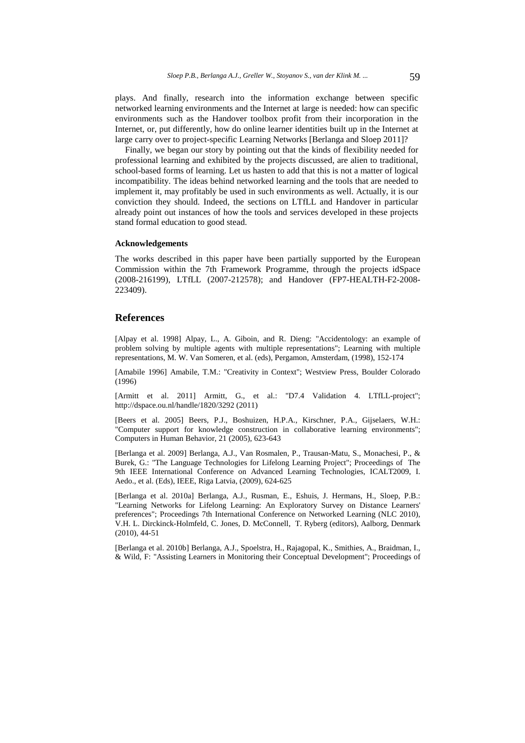plays. And finally, research into the information exchange between specific networked learning environments and the Internet at large is needed: how can specific environments such as the Handover toolbox profit from their incorporation in the Internet, or, put differently, how do online learner identities built up in the Internet at large carry over to project-specific Learning Networks [Berlanga and Sloep 2011]?

Finally, we began our story by pointing out that the kinds of flexibility needed for professional learning and exhibited by the projects discussed, are alien to traditional, school-based forms of learning. Let us hasten to add that this is not a matter of logical incompatibility. The ideas behind networked learning and the tools that are needed to implement it, may profitably be used in such environments as well. Actually, it is our conviction they should. Indeed, the sections on LTfLL and Handover in particular already point out instances of how the tools and services developed in these projects stand formal education to good stead.

#### **Acknowledgements**

The works described in this paper have been partially supported by the European Commission within the 7th Framework Programme, through the projects idSpace (2008-216199), LTfLL (2007-212578); and Handover (FP7-HEALTH-F2-2008- 223409).

### **References**

[Alpay et al. 1998] Alpay, L., A. Giboin, and R. Dieng: "Accidentology: an example of problem solving by multiple agents with multiple representations"; Learning with multiple representations, M. W. Van Someren, et al. (eds), Pergamon, Amsterdam, (1998), 152-174

[Amabile 1996] Amabile, T.M.: "Creativity in Context"; Westview Press, Boulder Colorado (1996)

[Armitt et al. 2011] Armitt, G., et al.: "D7.4 Validation 4. LTfLL-project"; http://dspace.ou.nl/handle/1820/3292 (2011)

[Beers et al. 2005] Beers, P.J., Boshuizen, H.P.A., Kirschner, P.A., Gijselaers, W.H.: "Computer support for knowledge construction in collaborative learning environments"; Computers in Human Behavior, 21 (2005), 623-643

[Berlanga et al. 2009] Berlanga, A.J., Van Rosmalen, P., Trausan-Matu, S., Monachesi, P., & Burek, G.: "The Language Technologies for Lifelong Learning Project"; Proceedings of The 9th IEEE International Conference on Advanced Learning Technologies, ICALT2009, I. Aedo., et al. (Eds), IEEE, Riga Latvia, (2009), 624-625

[Berlanga et al. 2010a] Berlanga, A.J., Rusman, E., Eshuis, J. Hermans, H., Sloep, P.B.: "Learning Networks for Lifelong Learning: An Exploratory Survey on Distance Learners' preferences"; Proceedings 7th International Conference on Networked Learning (NLC 2010), V.H. L. Dirckinck-Holmfeld, C. Jones, D. McConnell, T. Ryberg (editors), Aalborg, Denmark (2010), 44-51

[Berlanga et al. 2010b] Berlanga, A.J., Spoelstra, H., Rajagopal, K., Smithies, A., Braidman, I., & Wild, F: "Assisting Learners in Monitoring their Conceptual Development"; Proceedings of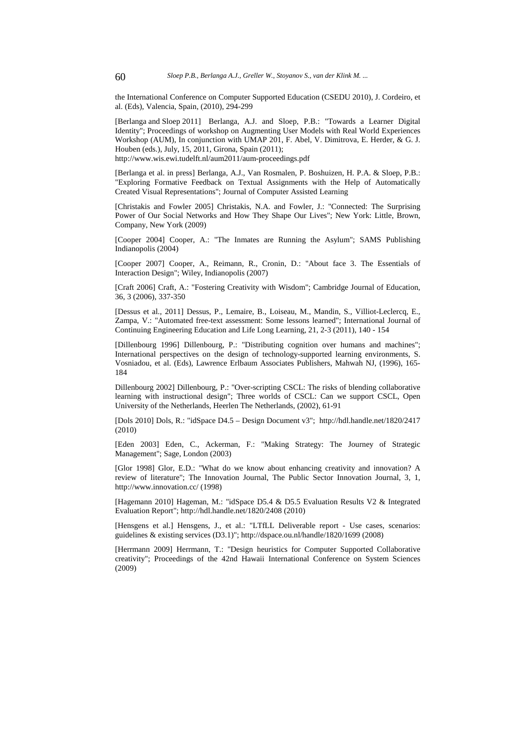the International Conference on Computer Supported Education (CSEDU 2010), J. Cordeiro, et al. (Eds), Valencia, Spain, (2010), 294-299

[Berlanga and Sloep 2011] Berlanga, A.J. and Sloep, P.B.: "Towards a Learner Digital Identity"; Proceedings of workshop on Augmenting User Models with Real World Experiences Workshop (AUM), In conjunction with UMAP 201, F. Abel, V. Dimitrova, E. Herder, & G. J. Houben (eds.), July, 15, 2011, Girona, Spain (2011);

http://www.wis.ewi.tudelft.nl/aum2011/aum-proceedings.pdf

[Berlanga et al. in press] Berlanga, A.J., Van Rosmalen, P. Boshuizen, H. P.A. & Sloep, P.B.: "Exploring Formative Feedback on Textual Assignments with the Help of Automatically Created Visual Representations"; Journal of Computer Assisted Learning

[Christakis and Fowler 2005] Christakis, N.A. and Fowler, J.: "Connected: The Surprising Power of Our Social Networks and How They Shape Our Lives"; New York: Little, Brown, Company, New York (2009)

[Cooper 2004] Cooper, A.: "The Inmates are Running the Asylum"; SAMS Publishing Indianopolis (2004)

[Cooper 2007] Cooper, A., Reimann, R., Cronin, D.: "About face 3. The Essentials of Interaction Design"; Wiley, Indianopolis (2007)

[Craft 2006] Craft, A.: "Fostering Creativity with Wisdom"; Cambridge Journal of Education, 36, 3 (2006), 337-350

[Dessus et al., 2011] Dessus, P., Lemaire, B., Loiseau, M., Mandin, S., Villiot-Leclercq, E., Zampa, V.: "Automated free-text assessment: Some lessons learned"; International Journal of Continuing Engineering Education and Life Long Learning, 21, 2-3 (2011), 140 - 154

[Dillenbourg 1996] Dillenbourg, P.: "Distributing cognition over humans and machines"; International perspectives on the design of technology-supported learning environments, S. Vosniadou, et al. (Eds), Lawrence Erlbaum Associates Publishers, Mahwah NJ, (1996), 165- 184

Dillenbourg 2002] Dillenbourg, P.: "Over-scripting CSCL: The risks of blending collaborative learning with instructional design"; Three worlds of CSCL: Can we support CSCL, Open University of the Netherlands, Heerlen The Netherlands, (2002), 61-91

[Dols 2010] Dols, R.: "idSpace D4.5 – Design Document v3"; http://hdl.handle.net/1820/2417 (2010)

[Eden 2003] Eden, C., Ackerman, F.: "Making Strategy: The Journey of Strategic Management"; Sage, London (2003)

[Glor 1998] Glor, E.D.: "What do we know about enhancing creativity and innovation? A review of literature"; The Innovation Journal, The Public Sector Innovation Journal, 3, 1, http://www.innovation.cc/ (1998)

[Hagemann 2010] Hageman, M.: "idSpace D5.4 & D5.5 Evaluation Results V2 & Integrated Evaluation Report"; http://hdl.handle.net/1820/2408 (2010)

[Hensgens et al.] Hensgens, J., et al.: "LTfLL Deliverable report - Use cases, scenarios: guidelines & existing services (D3.1)"; http://dspace.ou.nl/handle/1820/1699 (2008)

[Herrmann 2009] Herrmann, T.: "Design heuristics for Computer Supported Collaborative creativity"; Proceedings of the 42nd Hawaii International Conference on System Sciences (2009)